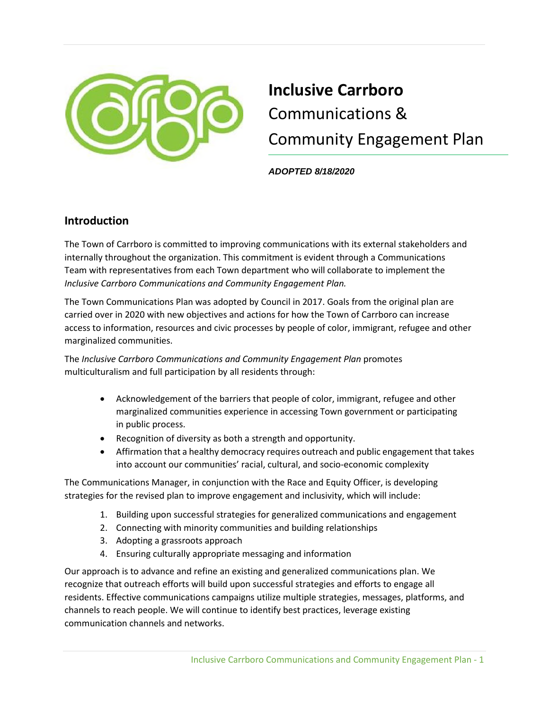

# **Inclusive Carrboro**  Communications & Community Engagement Plan

*ADOPTED 8/18/2020* 

## **Introduction**

The Town of Carrboro is committed to improving communications with its external stakeholders and internally throughout the organization. This commitment is evident through a Communications Team with representatives from each Town department who will collaborate to implement the *Inclusive Carrboro Communications and Community Engagement Plan.*

The Town Communications Plan was adopted by Council in 2017. Goals from the original plan are carried over in 2020 with new objectives and actions for how the Town of Carrboro can increase access to information, resources and civic processes by people of color, immigrant, refugee and other marginalized communities.

The *Inclusive Carrboro Communications and Community Engagement Plan* promotes multiculturalism and full participation by all residents through:

- Acknowledgement of the barriers that people of color, immigrant, refugee and other marginalized communities experience in accessing Town government or participating in public process.
- Recognition of diversity as both a strength and opportunity.
- Affirmation that a healthy democracy requires outreach and public engagement that takes into account our communities' racial, cultural, and socio-economic complexity

The Communications Manager, in conjunction with the Race and Equity Officer, is developing strategies for the revised plan to improve engagement and inclusivity, which will include:

- 1. Building upon successful strategies for generalized communications and engagement
- 2. Connecting with minority communities and building relationships
- 3. Adopting a grassroots approach
- 4. Ensuring culturally appropriate messaging and information

Our approach is to advance and refine an existing and generalized communications plan. We recognize that outreach efforts will build upon successful strategies and efforts to engage all residents. Effective communications campaigns utilize multiple strategies, messages, platforms, and channels to reach people. We will continue to identify best practices, leverage existing communication channels and networks.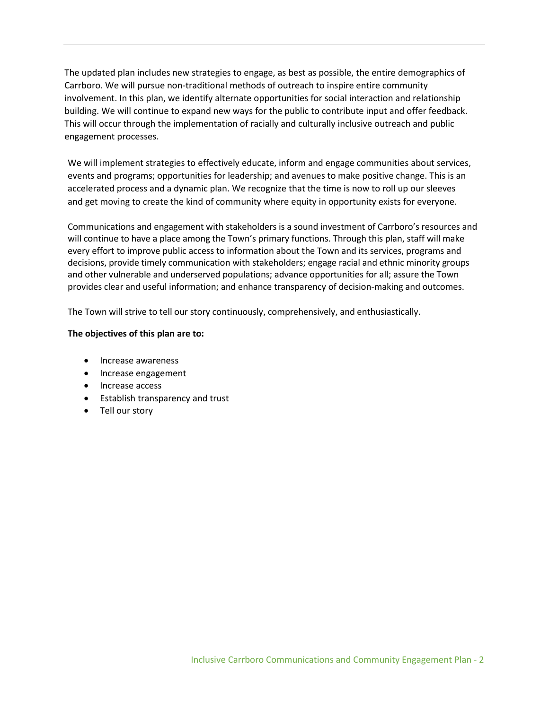The updated plan includes new strategies to engage, as best as possible, the entire demographics of Carrboro. We will pursue non-traditional methods of outreach to inspire entire community involvement. In this plan, we identify alternate opportunities for social interaction and relationship building. We will continue to expand new ways for the public to contribute input and offer feedback. This will occur through the implementation of racially and culturally inclusive outreach and public engagement processes.

We will implement strategies to effectively educate, inform and engage communities about services, events and programs; opportunities for leadership; and avenues to make positive change. This is an accelerated process and a dynamic plan. We recognize that the time is now to roll up our sleeves and get moving to create the kind of community where equity in opportunity exists for everyone.

Communications and engagement with stakeholders is a sound investment of Carrboro's resources and will continue to have a place among the Town's primary functions. Through this plan, staff will make every effort to improve public access to information about the Town and its services, programs and decisions, provide timely communication with stakeholders; engage racial and ethnic minority groups and other vulnerable and underserved populations; advance opportunities for all; assure the Town provides clear and useful information; and enhance transparency of decision-making and outcomes.

The Town will strive to tell our story continuously, comprehensively, and enthusiastically.

#### **The objectives of this plan are to:**

- Increase awareness
- Increase engagement
- Increase access
- Establish transparency and trust
- Tell our story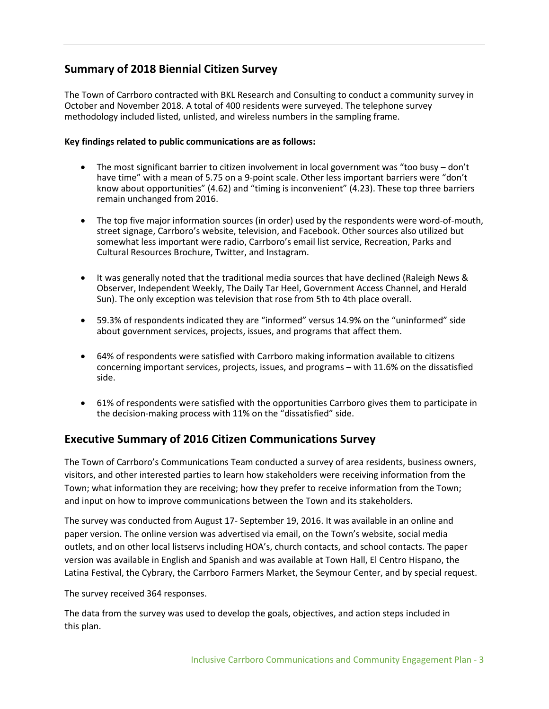## **Summary of 2018 Biennial Citizen Survey**

The Town of Carrboro contracted with BKL Research and Consulting to conduct a community survey in October and November 2018. A total of 400 residents were surveyed. The telephone survey methodology included listed, unlisted, and wireless numbers in the sampling frame.

#### **Key findings related to public communications are as follows:**

- The most significant barrier to citizen involvement in local government was "too busy don't have time" with a mean of 5.75 on a 9-point scale. Other less important barriers were "don't know about opportunities" (4.62) and "timing is inconvenient" (4.23). These top three barriers remain unchanged from 2016.
- The top five major information sources (in order) used by the respondents were word-of-mouth, street signage, Carrboro's website, television, and Facebook. Other sources also utilized but somewhat less important were radio, Carrboro's email list service, Recreation, Parks and Cultural Resources Brochure, Twitter, and Instagram.
- It was generally noted that the traditional media sources that have declined (Raleigh News & Observer, Independent Weekly, The Daily Tar Heel, Government Access Channel, and Herald Sun). The only exception was television that rose from 5th to 4th place overall.
- 59.3% of respondents indicated they are "informed" versus 14.9% on the "uninformed" side about government services, projects, issues, and programs that affect them.
- 64% of respondents were satisfied with Carrboro making information available to citizens concerning important services, projects, issues, and programs – with 11.6% on the dissatisfied side.
- 61% of respondents were satisfied with the opportunities Carrboro gives them to participate in the decision-making process with 11% on the "dissatisfied" side.

### **Executive Summary of 2016 Citizen Communications Survey**

The Town of Carrboro's Communications Team conducted a survey of area residents, business owners, visitors, and other interested parties to learn how stakeholders were receiving information from the Town; what information they are receiving; how they prefer to receive information from the Town; and input on how to improve communications between the Town and its stakeholders.

The survey was conducted from August 17- September 19, 2016. It was available in an online and paper version. The online version was advertised via email, on the Town's website, social media outlets, and on other local listservs including HOA's, church contacts, and school contacts. The paper version was available in English and Spanish and was available at Town Hall, El Centro Hispano, the Latina Festival, the Cybrary, the Carrboro Farmers Market, the Seymour Center, and by special request.

The survey received 364 responses.

The data from the survey was used to develop the goals, objectives, and action steps included in this plan.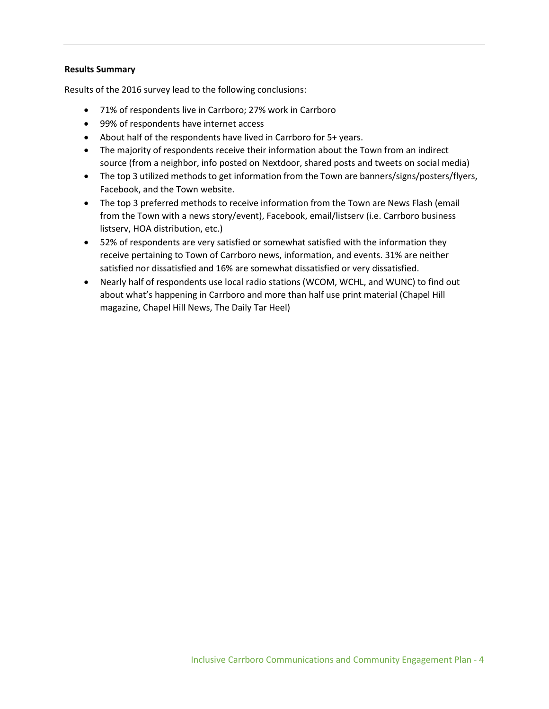#### **Results Summary**

Results of the 2016 survey lead to the following conclusions:

- 71% of respondents live in Carrboro; 27% work in Carrboro
- 99% of respondents have internet access
- About half of the respondents have lived in Carrboro for 5+ years.
- The majority of respondents receive their information about the Town from an indirect source (from a neighbor, info posted on Nextdoor, shared posts and tweets on social media)
- The top 3 utilized methods to get information from the Town are banners/signs/posters/flyers, Facebook, and the Town website.
- The top 3 preferred methods to receive information from the Town are News Flash (email from the Town with a news story/event), Facebook, email/listserv (i.e. Carrboro business listserv, HOA distribution, etc.)
- 52% of respondents are very satisfied or somewhat satisfied with the information they receive pertaining to Town of Carrboro news, information, and events. 31% are neither satisfied nor dissatisfied and 16% are somewhat dissatisfied or very dissatisfied.
- Nearly half of respondents use local radio stations (WCOM, WCHL, and WUNC) to find out about what's happening in Carrboro and more than half use print material (Chapel Hill magazine, Chapel Hill News, The Daily Tar Heel)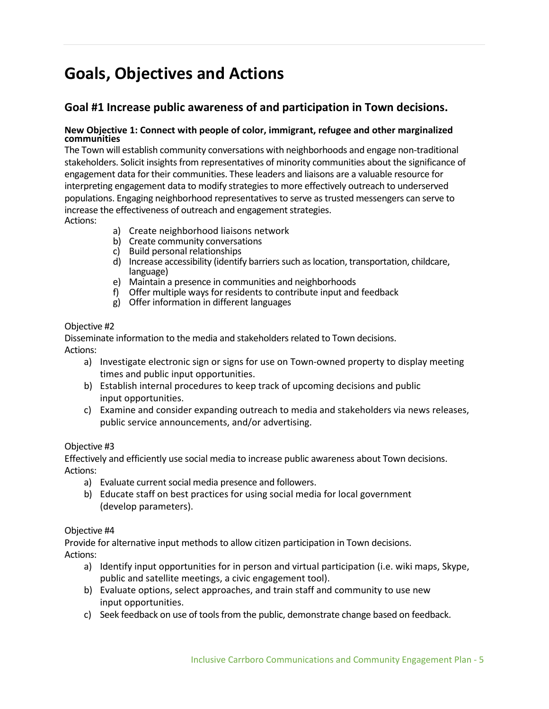## **Goals, Objectives and Actions**

## **Goal #1 Increase public awareness of and participation in Town decisions.**

#### **New Objective 1: Connect with people of color, immigrant, refugee and other marginalized communities**

The Town will establish community conversations with neighborhoods and engage non-traditional stakeholders. Solicit insights from representatives of minority communities about the significance of engagement data for their communities. These leaders and liaisons are a valuable resource for interpreting engagement data to modify strategies to more effectively outreach to underserved populations. Engaging neighborhood representatives to serve as trusted messengers can serve to increase the effectiveness of outreach and engagement strategies. Actions:

- a) Create neighborhood liaisons network
- b) Create community conversations
- c) Build personal relationships
- d) Increase accessibility (identify barriers such as location, transportation, childcare, language)
- e) Maintain a presence in communities and neighborhoods
- f) Offer multiple ways for residents to contribute input and feedback
- g) Offer information in different languages

#### Objective #2

Disseminate information to the media and stakeholders related to Town decisions. Actions:

- a) Investigate electronic sign or signs for use on Town-owned property to display meeting times and public input opportunities.
- b) Establish internal procedures to keep track of upcoming decisions and public input opportunities.
- c) Examine and consider expanding outreach to media and stakeholders via news releases, public service announcements, and/or advertising.

#### Objective #3

Effectively and efficiently use social media to increase public awareness about Town decisions. Actions:

- a) Evaluate current social media presence and followers.
- b) Educate staff on best practices for using social media for local government (develop parameters).

#### Objective #4

Provide for alternative input methods to allow citizen participation in Town decisions. Actions:

- a) Identify input opportunities for in person and virtual participation (i.e. wiki maps, Skype, public and satellite meetings, a civic engagement tool).
- b) Evaluate options, select approaches, and train staff and community to use new input opportunities.
- c) Seek feedback on use of tools from the public, demonstrate change based on feedback.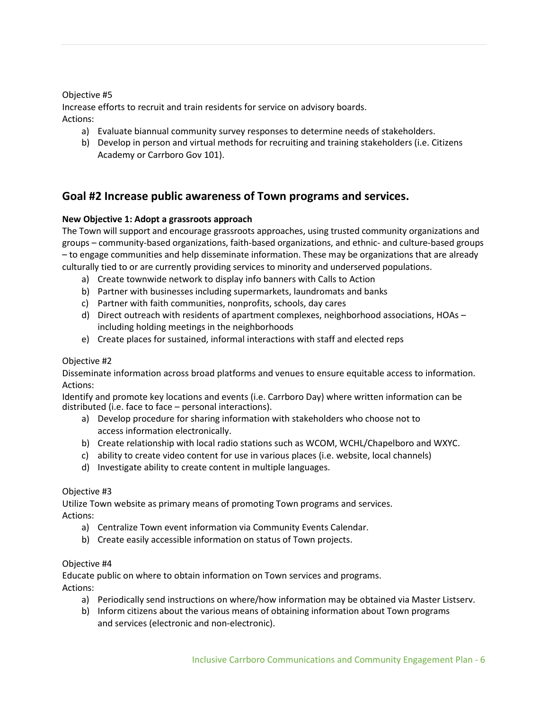#### Objective #5

Increase efforts to recruit and train residents for service on advisory boards. Actions:

- a) Evaluate biannual community survey responses to determine needs of stakeholders.
- b) Develop in person and virtual methods for recruiting and training stakeholders (i.e. Citizens Academy or Carrboro Gov 101).

## **Goal #2 Increase public awareness of Town programs and services.**

#### **New Objective 1: Adopt a grassroots approach**

The Town will support and encourage grassroots approaches, using trusted community organizations and groups – community-based organizations, faith-based organizations, and ethnic- and culture-based groups – to engage communities and help disseminate information. These may be organizations that are already culturally tied to or are currently providing services to minority and underserved populations.

- a) Create townwide network to display info banners with Calls to Action
- b) Partner with businesses including supermarkets, laundromats and banks
- c) Partner with faith communities, nonprofits, schools, day cares
- d) Direct outreach with residents of apartment complexes, neighborhood associations, HOAs including holding meetings in the neighborhoods
- e) Create places for sustained, informal interactions with staff and elected reps

#### Objective #2

Disseminate information across broad platforms and venues to ensure equitable access to information. Actions:

Identify and promote key locations and events (i.e. Carrboro Day) where written information can be distributed (i.e. face to face – personal interactions).

- a) Develop procedure for sharing information with stakeholders who choose not to access information electronically.
- b) Create relationship with local radio stations such as WCOM, WCHL/Chapelboro and WXYC.
- c) ability to create video content for use in various places (i.e. website, local channels)
- d) Investigate ability to create content in multiple languages.

#### Objective #3

Utilize Town website as primary means of promoting Town programs and services. Actions:

- a) Centralize Town event information via Community Events Calendar.
- b) Create easily accessible information on status of Town projects.

#### Objective #4

Educate public on where to obtain information on Town services and programs.

Actions:

- a) Periodically send instructions on where/how information may be obtained via Master Listserv.
- b) Inform citizens about the various means of obtaining information about Town programs and services (electronic and non-electronic).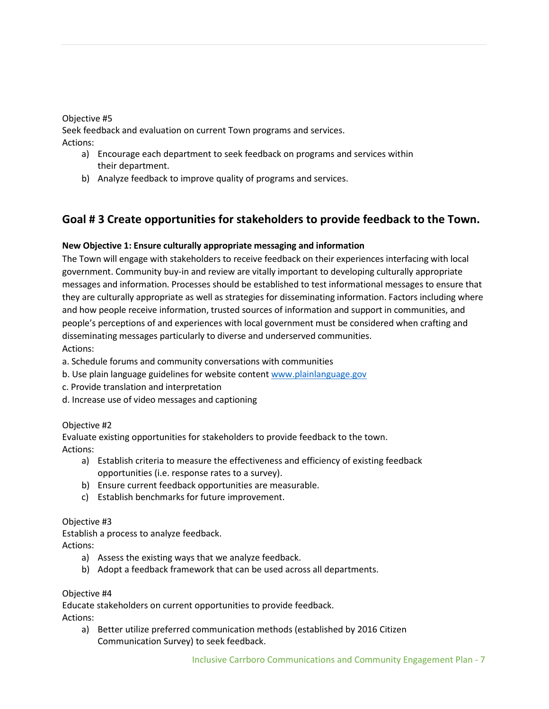#### Objective #5

Seek feedback and evaluation on current Town programs and services. Actions:

- a) Encourage each department to seek feedback on programs and services within their department.
- b) Analyze feedback to improve quality of programs and services.

## **Goal # 3 Create opportunities for stakeholders to provide feedback to the Town.**

#### **New Objective 1: Ensure culturally appropriate messaging and information**

The Town will engage with stakeholders to receive feedback on their experiences interfacing with local government. Community buy-in and review are vitally important to developing culturally appropriate messages and information. Processes should be established to test informational messages to ensure that they are culturally appropriate as well as strategies for disseminating information. Factors including where and how people receive information, trusted sources of information and support in communities, and people's perceptions of and experiences with local government must be considered when crafting and disseminating messages particularly to diverse and underserved communities. Actions:

a. Schedule forums and community conversations with communities

- b. Use plain language guidelines for website conten[t www.plainlanguage.gov](http://www.plainlanguage.gov/)
- c. Provide translation and interpretation
- d. Increase use of video messages and captioning

#### Objective #2

Evaluate existing opportunities for stakeholders to provide feedback to the town. Actions:

- a) Establish criteria to measure the effectiveness and efficiency of existing feedback opportunities (i.e. response rates to a survey).
- b) Ensure current feedback opportunities are measurable.
- c) Establish benchmarks for future improvement.

#### Objective #3

Establish a process to analyze feedback.

Actions:

- a) Assess the existing ways that we analyze feedback.
- b) Adopt a feedback framework that can be used across all departments.

#### Objective #4

Educate stakeholders on current opportunities to provide feedback. Actions:

a) Better utilize preferred communication methods (established by 2016 Citizen Communication Survey) to seek feedback.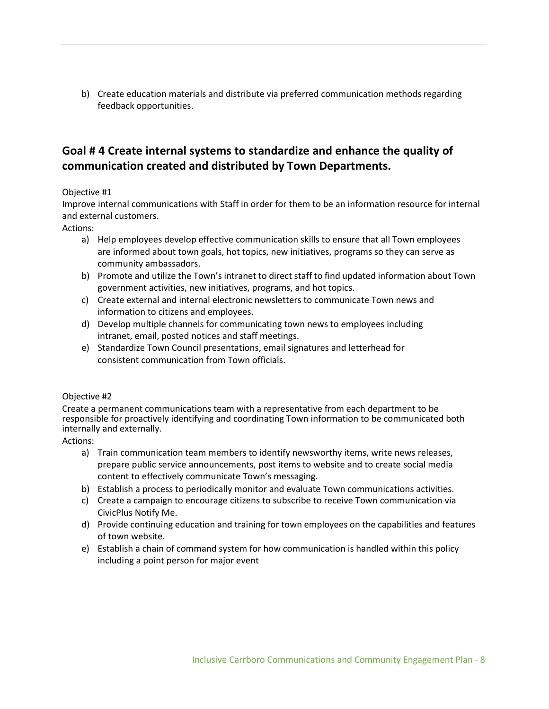b) Create education materials and distribute via preferred communication methods regarding feedback opportunities.

## **Goal # 4 Create internal systems to standardize and enhance the quality of communication created and distributed by Town Departments.**

#### Objective #1

Improve internal communications with Staff in order for them to be an information resource for internal and external customers.

Actions:

- a) Help employees develop effective communication skills to ensure that all Town employees are informed about town goals, hot topics, new initiatives, programs so they can serve as community ambassadors.
- b) Promote and utilize the Town's intranet to direct staff to find updated information about Town government activities, new initiatives, programs, and hot topics.
- c) Create external and internal electronic newsletters to communicate Town news and information to citizens and employees.
- d) Develop multiple channels for communicating town news to employees including intranet, email, posted notices and staff meetings.
- e) Standardize Town Council presentations, email signatures and letterhead for consistent communication from Town officials.

#### Objective #2

Create a permanent communications team with a representative from each department to be responsible for proactively identifying and coordinating Town information to be communicated both internally and externally.

Actions:

- a) Train communication team members to identify newsworthy items, write news releases, prepare public service announcements, post items to website and to create social media content to effectively communicate Town's messaging.
- b) Establish a process to periodically monitor and evaluate Town communications activities.
- c) Create a campaign to encourage citizens to subscribe to receive Town communication via CivicPlus Notify Me.
- d) Provide continuing education and training for town employees on the capabilities and features of town website.
- e) Establish a chain of command system for how communication is handled within this policy including a point person for major event